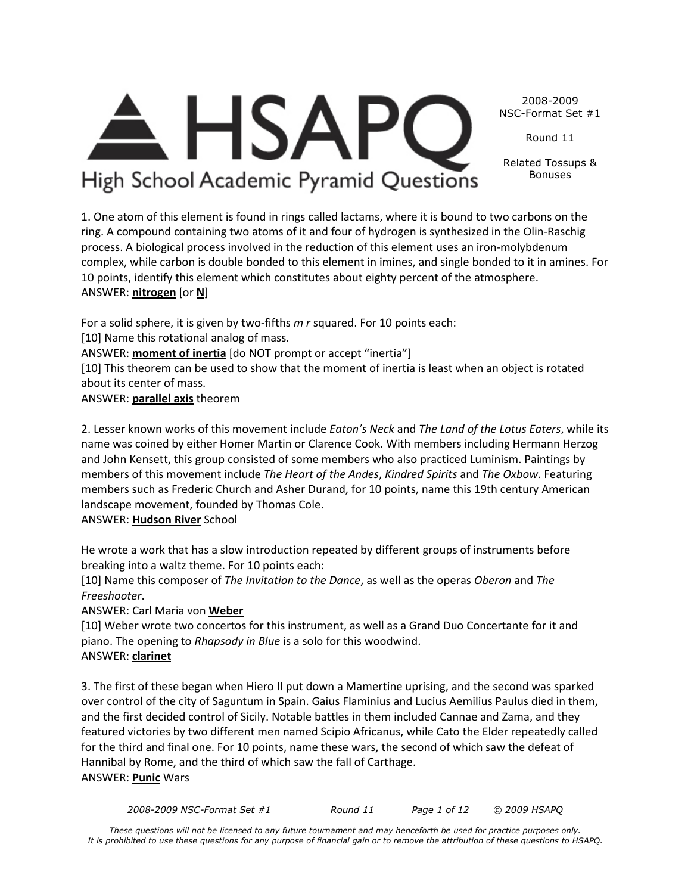*2008-2009 NSC-Format Set #1 Round 11 Page 1 of 12 © 2009 HSAPQ* 

*These questions will not be licensed to any future tournament and may henceforth be used for practice purposes only. It is prohibited to use these questions for any purpose of financial gain or to remove the attribution of these questions to HSAPQ.*

#### 2008-2009 NSC-Format Set #1

Round 11

Related Tossups & Bonuses

**HSAP** High School Academic Pyramid Questions

1. One atom of this element is found in rings called lactams, where it is bound to two carbons on the ring. A compound containing two atoms of it and four of hydrogen is synthesized in the Olin-Raschig process. A biological process involved in the reduction of this element uses an iron-molybdenum complex, while carbon is double bonded to this element in imines, and single bonded to it in amines. For 10 points, identify this element which constitutes about eighty percent of the atmosphere. ANSWER: **nitrogen** [or **N**]

For a solid sphere, it is given by two-fifths *m r* squared. For 10 points each: [10] Name this rotational analog of mass.

ANSWER: **moment of inertia** [do NOT prompt or accept "inertia"]

[10] This theorem can be used to show that the moment of inertia is least when an object is rotated about its center of mass.

ANSWER: **parallel axis** theorem

2. Lesser known works of this movement include *Eaton's Neck* and *The Land of the Lotus Eaters*, while its name was coined by either Homer Martin or Clarence Cook. With members including Hermann Herzog and John Kensett, this group consisted of some members who also practiced Luminism. Paintings by members of this movement include *The Heart of the Andes*, *Kindred Spirits* and *The Oxbow*. Featuring members such as Frederic Church and Asher Durand, for 10 points, name this 19th century American landscape movement, founded by Thomas Cole.

ANSWER: **Hudson River** School

He wrote a work that has a slow introduction repeated by different groups of instruments before breaking into a waltz theme. For 10 points each:

[10] Name this composer of *The Invitation to the Dance*, as well as the operas *Oberon* and *The Freeshooter*.

ANSWER: Carl Maria von **Weber**

[10] Weber wrote two concertos for this instrument, as well as a Grand Duo Concertante for it and piano. The opening to *Rhapsody in Blue* is a solo for this woodwind. ANSWER: **clarinet**

3. The first of these began when Hiero II put down a Mamertine uprising, and the second was sparked over control of the city of Saguntum in Spain. Gaius Flaminius and Lucius Aemilius Paulus died in them, and the first decided control of Sicily. Notable battles in them included Cannae and Zama, and they featured victories by two different men named Scipio Africanus, while Cato the Elder repeatedly called for the third and final one. For 10 points, name these wars, the second of which saw the defeat of Hannibal by Rome, and the third of which saw the fall of Carthage. ANSWER: **Punic** Wars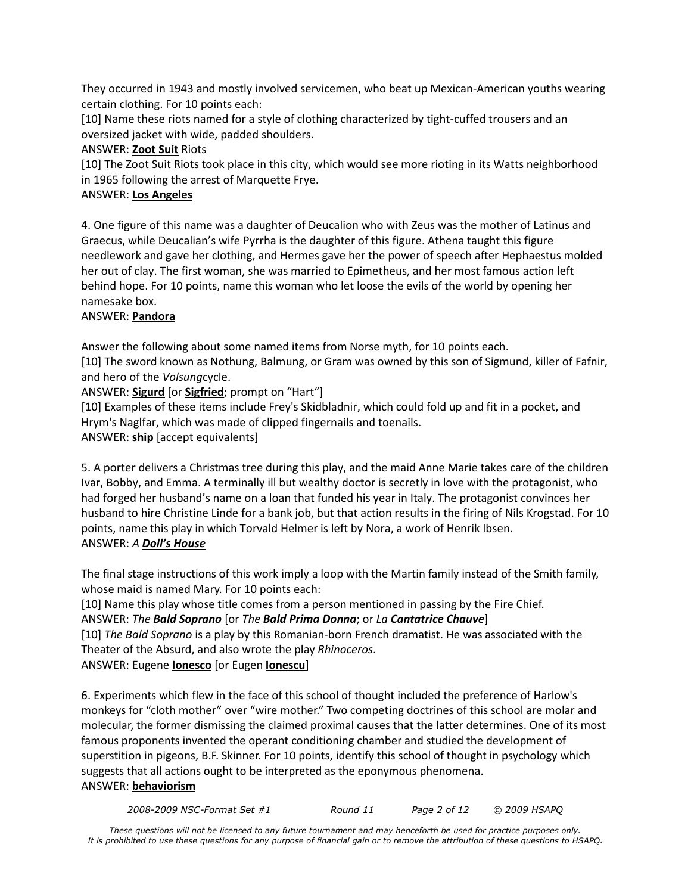They occurred in 1943 and mostly involved servicemen, who beat up Mexican-American youths wearing certain clothing. For 10 points each:

[10] Name these riots named for a style of clothing characterized by tight-cuffed trousers and an oversized jacket with wide, padded shoulders.

ANSWER: **Zoot Suit** Riots

[10] The Zoot Suit Riots took place in this city, which would see more rioting in its Watts neighborhood in 1965 following the arrest of Marquette Frye.

# ANSWER: **Los Angeles**

4. One figure of this name was a daughter of Deucalion who with Zeus was the mother of Latinus and Graecus, while Deucalian's wife Pyrrha is the daughter of this figure. Athena taught this figure needlework and gave her clothing, and Hermes gave her the power of speech after Hephaestus molded her out of clay. The first woman, she was married to Epimetheus, and her most famous action left behind hope. For 10 points, name this woman who let loose the evils of the world by opening her namesake box.

# ANSWER: **Pandora**

Answer the following about some named items from Norse myth, for 10 points each.

[10] The sword known as Nothung, Balmung, or Gram was owned by this son of Sigmund, killer of Fafnir, and hero of the *Volsung*cycle.

ANSWER: **Sigurd** [or **Sigfried**; prompt on "Hart"]

[10] Examples of these items include Frey's Skidbladnir, which could fold up and fit in a pocket, and Hrym's Naglfar, which was made of clipped fingernails and toenails.

ANSWER: **ship** [accept equivalents]

5. A porter delivers a Christmas tree during this play, and the maid Anne Marie takes care of the children Ivar, Bobby, and Emma. A terminally ill but wealthy doctor is secretly in love with the protagonist, who had forged her husband's name on a loan that funded his year in Italy. The protagonist convinces her husband to hire Christine Linde for a bank job, but that action results in the firing of Nils Krogstad. For 10 points, name this play in which Torvald Helmer is left by Nora, a work of Henrik Ibsen. ANSWER: *A Doll's House*

The final stage instructions of this work imply a loop with the Martin family instead of the Smith family, whose maid is named Mary. For 10 points each:

[10] Name this play whose title comes from a person mentioned in passing by the Fire Chief. ANSWER: *The Bald Soprano* [or *The Bald Prima Donna*; or *La Cantatrice Chauve*] [10] *The Bald Soprano* is a play by this Romanian-born French dramatist. He was associated with the Theater of the Absurd, and also wrote the play *Rhinoceros*. ANSWER: Eugene **Ionesco** [or Eugen **Ionescu**]

6. Experiments which flew in the face of this school of thought included the preference of Harlow's monkeys for "cloth mother" over "wire mother." Two competing doctrines of this school are molar and molecular, the former dismissing the claimed proximal causes that the latter determines. One of its most famous proponents invented the operant conditioning chamber and studied the development of superstition in pigeons, B.F. Skinner. For 10 points, identify this school of thought in psychology which suggests that all actions ought to be interpreted as the eponymous phenomena. ANSWER: **behaviorism**

*2008-2009 NSC-Format Set #1 Round 11 Page 2 of 12 © 2009 HSAPQ*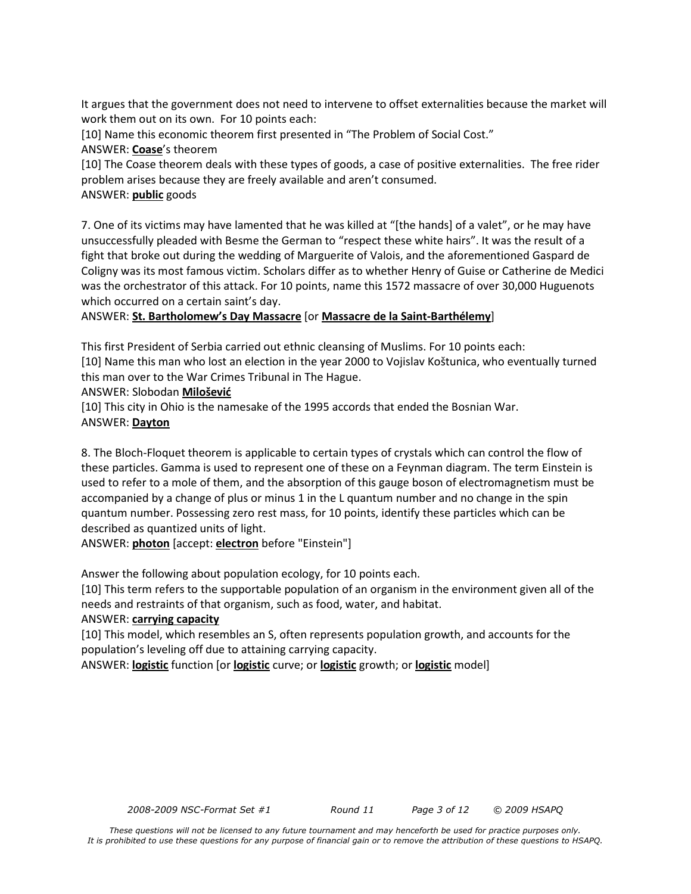It argues that the government does not need to intervene to offset externalities because the market will work them out on its own. For 10 points each:

[10] Name this economic theorem first presented in "The Problem of Social Cost." ANSWER: **Coase**'s theorem

[10] The Coase theorem deals with these types of goods, a case of positive externalities. The free rider problem arises because they are freely available and aren't consumed. ANSWER: **public** goods

7. One of its victims may have lamented that he was killed at "[the hands] of a valet", or he may have unsuccessfully pleaded with Besme the German to "respect these white hairs". It was the result of a fight that broke out during the wedding of Marguerite of Valois, and the aforementioned Gaspard de Coligny was its most famous victim. Scholars differ as to whether Henry of Guise or Catherine de Medici was the orchestrator of this attack. For 10 points, name this 1572 massacre of over 30,000 Huguenots which occurred on a certain saint's day.

ANSWER: **St. Bartholomew's Day Massacre** [or **Massacre de la Saint-Barthélemy**]

This first President of Serbia carried out ethnic cleansing of Muslims. For 10 points each:

[10] Name this man who lost an election in the year 2000 to Vojislav Koštunica, who eventually turned this man over to the War Crimes Tribunal in The Hague.

ANSWER: Slobodan **Milošević**

[10] This city in Ohio is the namesake of the 1995 accords that ended the Bosnian War. ANSWER: **Dayton**

8. The Bloch-Floquet theorem is applicable to certain types of crystals which can control the flow of these particles. Gamma is used to represent one of these on a Feynman diagram. The term Einstein is used to refer to a mole of them, and the absorption of this gauge boson of electromagnetism must be accompanied by a change of plus or minus 1 in the L quantum number and no change in the spin quantum number. Possessing zero rest mass, for 10 points, identify these particles which can be described as quantized units of light.

ANSWER: **photon** [accept: **electron** before "Einstein"]

Answer the following about population ecology, for 10 points each.

[10] This term refers to the supportable population of an organism in the environment given all of the needs and restraints of that organism, such as food, water, and habitat.

### ANSWER: **carrying capacity**

[10] This model, which resembles an S, often represents population growth, and accounts for the population's leveling off due to attaining carrying capacity.

ANSWER: **logistic** function [or **logistic** curve; or **logistic** growth; or **logistic** model]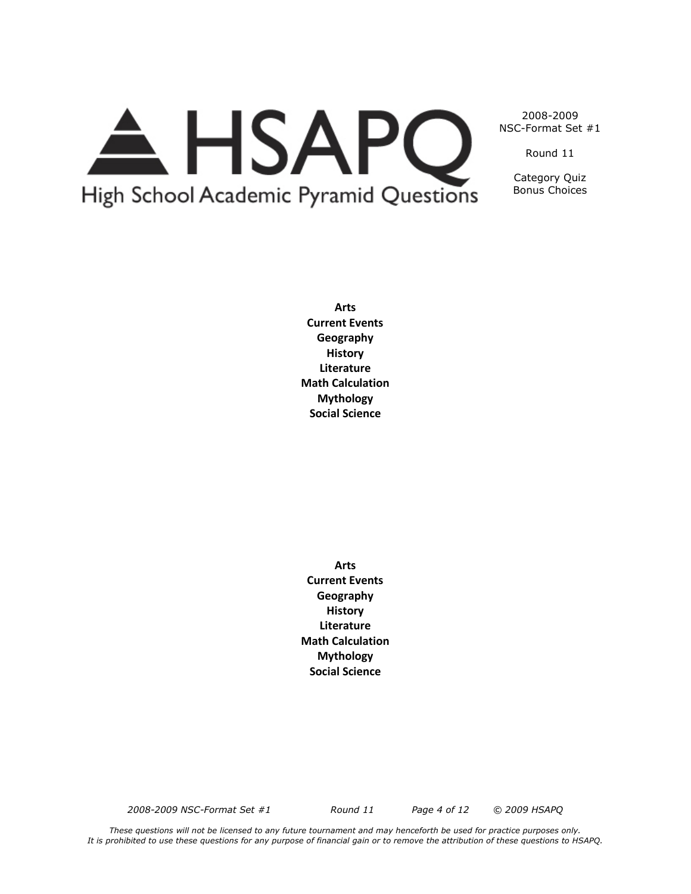# A HSAPQ High School Academic Pyramid Questions

2008-2009 NSC-Format Set #1

Round 11

Category Quiz Bonus Choices

**Arts Current Events Geography History Literature Math Calculation Mythology Social Science**

**Arts Current Events Geography History Literature Math Calculation Mythology Social Science**

*2008-2009 NSC-Format Set #1 Round 11 Page 4 of 12 © 2009 HSAPQ*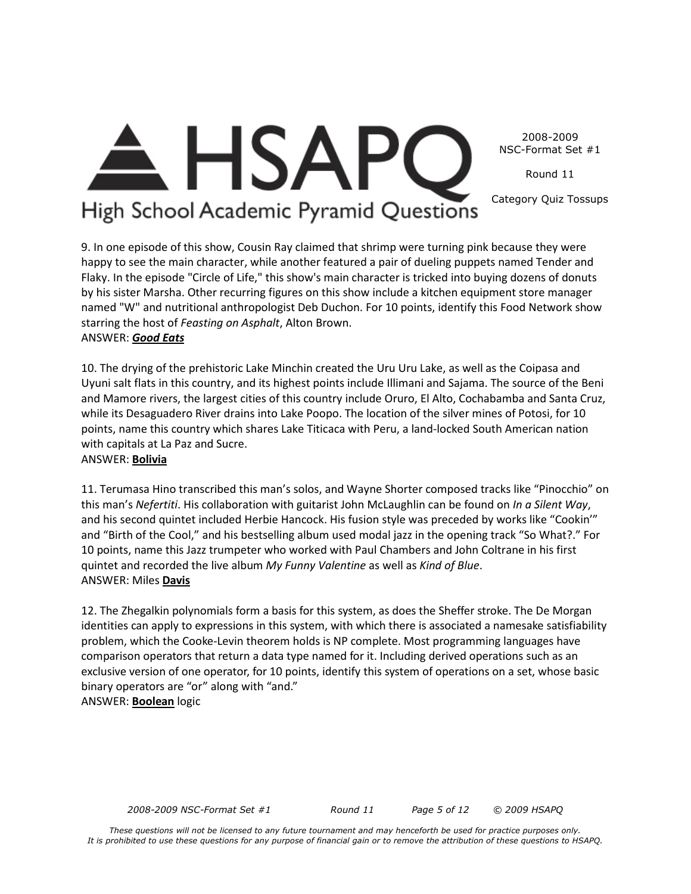2008-2009 NSC-Format Set #1

Round 11

Category Quiz Tossups

# High School Academic Pyramid Questions

**HSAP** 

9. In one episode of this show, Cousin Ray claimed that shrimp were turning pink because they were happy to see the main character, while another featured a pair of dueling puppets named Tender and Flaky. In the episode "Circle of Life," this show's main character is tricked into buying dozens of donuts by his sister Marsha. Other recurring figures on this show include a kitchen equipment store manager named "W" and nutritional anthropologist Deb Duchon. For 10 points, identify this Food Network show starring the host of *Feasting on Asphalt*, Alton Brown. ANSWER: *Good Eats*

10. The drying of the prehistoric Lake Minchin created the Uru Uru Lake, as well as the Coipasa and Uyuni salt flats in this country, and its highest points include Illimani and Sajama. The source of the Beni and Mamore rivers, the largest cities of this country include Oruro, El Alto, Cochabamba and Santa Cruz, while its Desaguadero River drains into Lake Poopo. The location of the silver mines of Potosi, for 10 points, name this country which shares Lake Titicaca with Peru, a land-locked South American nation with capitals at La Paz and Sucre.

# ANSWER: **Bolivia**

11. Terumasa Hino transcribed this man's solos, and Wayne Shorter composed tracks like "Pinocchio" on this man's *Nefertiti*. His collaboration with guitarist John McLaughlin can be found on *In a Silent Way*, and his second quintet included Herbie Hancock. His fusion style was preceded by works like "Cookin'" and "Birth of the Cool," and his bestselling album used modal jazz in the opening track "So What?." For 10 points, name this Jazz trumpeter who worked with Paul Chambers and John Coltrane in his first quintet and recorded the live album *My Funny Valentine* as well as *Kind of Blue*. ANSWER: Miles **Davis**

12. The Zhegalkin polynomials form a basis for this system, as does the Sheffer stroke. The De Morgan identities can apply to expressions in this system, with which there is associated a namesake satisfiability problem, which the Cooke-Levin theorem holds is NP complete. Most programming languages have comparison operators that return a data type named for it. Including derived operations such as an exclusive version of one operator, for 10 points, identify this system of operations on a set, whose basic binary operators are "or" along with "and." ANSWER: **Boolean** logic

*2008-2009 NSC-Format Set #1 Round 11 Page 5 of 12 © 2009 HSAPQ*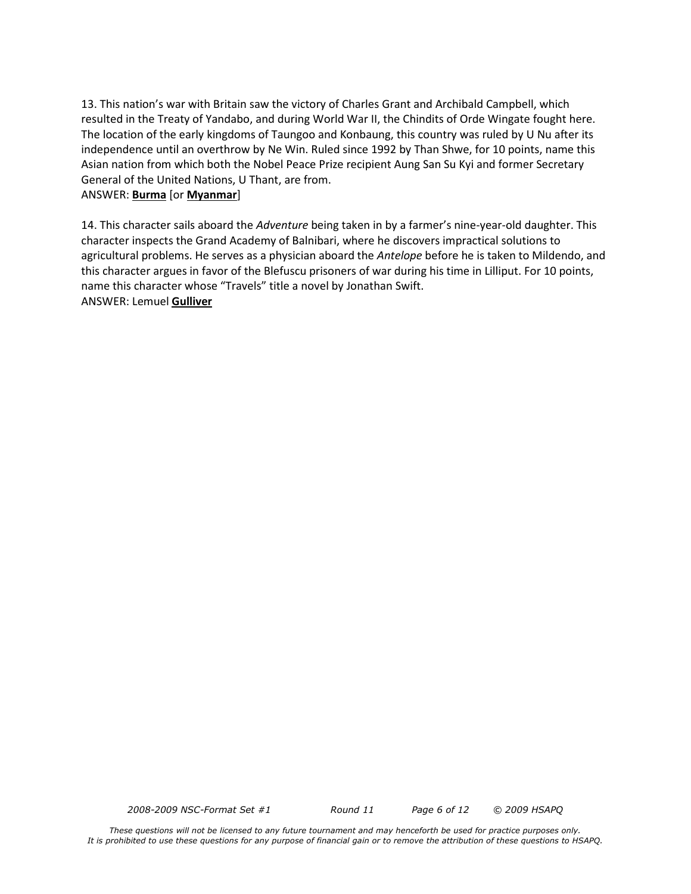13. This nation's war with Britain saw the victory of Charles Grant and Archibald Campbell, which resulted in the Treaty of Yandabo, and during World War II, the Chindits of Orde Wingate fought here. The location of the early kingdoms of Taungoo and Konbaung, this country was ruled by U Nu after its independence until an overthrow by Ne Win. Ruled since 1992 by Than Shwe, for 10 points, name this Asian nation from which both the Nobel Peace Prize recipient Aung San Su Kyi and former Secretary General of the United Nations, U Thant, are from.

### ANSWER: **Burma** [or **Myanmar**]

14. This character sails aboard the *Adventure* being taken in by a farmer's nine-year-old daughter. This character inspects the Grand Academy of Balnibari, where he discovers impractical solutions to agricultural problems. He serves as a physician aboard the *Antelope* before he is taken to Mildendo, and this character argues in favor of the Blefuscu prisoners of war during his time in Lilliput. For 10 points, name this character whose "Travels" title a novel by Jonathan Swift. ANSWER: Lemuel **Gulliver**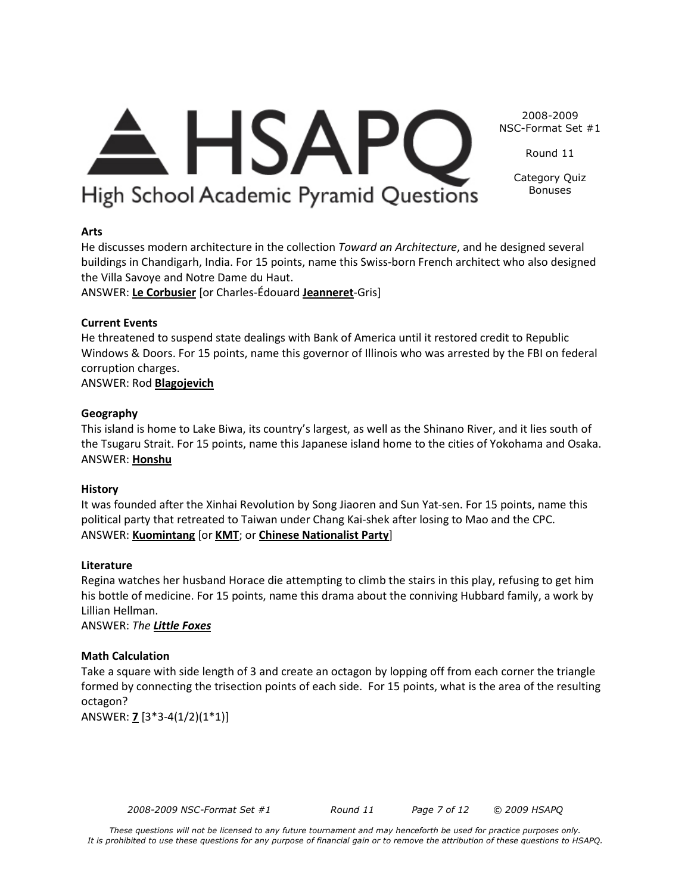# <del>A</del> HSAPC High School Academic Pyramid Questions

NSC-Format Set #1 Round 11

2008-2009

Category Quiz Bonuses

# **Arts**

He discusses modern architecture in the collection *Toward an Architecture*, and he designed several buildings in Chandigarh, India. For 15 points, name this Swiss-born French architect who also designed the Villa Savoye and Notre Dame du Haut.

ANSWER: **Le Corbusier** [or Charles-Édouard **Jeanneret**-Gris]

# **Current Events**

He threatened to suspend state dealings with Bank of America until it restored credit to Republic Windows & Doors. For 15 points, name this governor of Illinois who was arrested by the FBI on federal corruption charges.

ANSWER: Rod **Blagojevich**

# **Geography**

This island is home to Lake Biwa, its country's largest, as well as the Shinano River, and it lies south of the Tsugaru Strait. For 15 points, name this Japanese island home to the cities of Yokohama and Osaka. ANSWER: **Honshu**

### **History**

It was founded after the Xinhai Revolution by Song Jiaoren and Sun Yat-sen. For 15 points, name this political party that retreated to Taiwan under Chang Kai-shek after losing to Mao and the CPC. ANSWER: **Kuomintang** [or **KMT**; or **Chinese Nationalist Party**]

### **Literature**

Regina watches her husband Horace die attempting to climb the stairs in this play, refusing to get him his bottle of medicine. For 15 points, name this drama about the conniving Hubbard family, a work by Lillian Hellman.

ANSWER: *The Little Foxes*

# **Math Calculation**

Take a square with side length of 3 and create an octagon by lopping off from each corner the triangle formed by connecting the trisection points of each side. For 15 points, what is the area of the resulting octagon?

ANSWER: **7** [3\*3-4(1/2)(1\*1)]

*2008-2009 NSC-Format Set #1 Round 11 Page 7 of 12 © 2009 HSAPQ*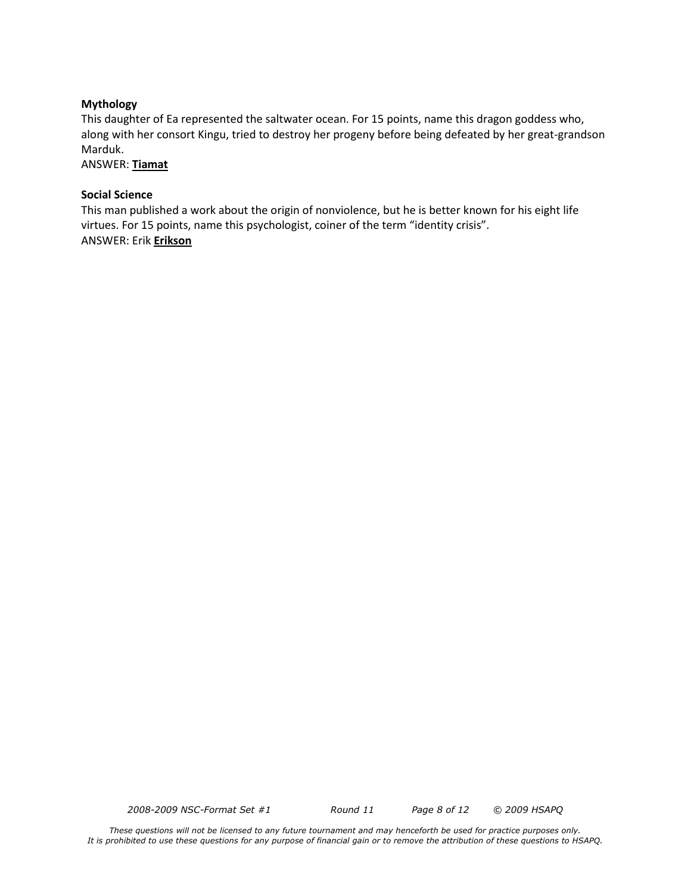#### **Mythology**

This daughter of Ea represented the saltwater ocean. For 15 points, name this dragon goddess who, along with her consort Kingu, tried to destroy her progeny before being defeated by her great-grandson Marduk.

ANSWER: **Tiamat**

#### **Social Science**

This man published a work about the origin of nonviolence, but he is better known for his eight life virtues. For 15 points, name this psychologist, coiner of the term "identity crisis". ANSWER: Erik **Erikson**

*2008-2009 NSC-Format Set #1 Round 11 Page 8 of 12 © 2009 HSAPQ*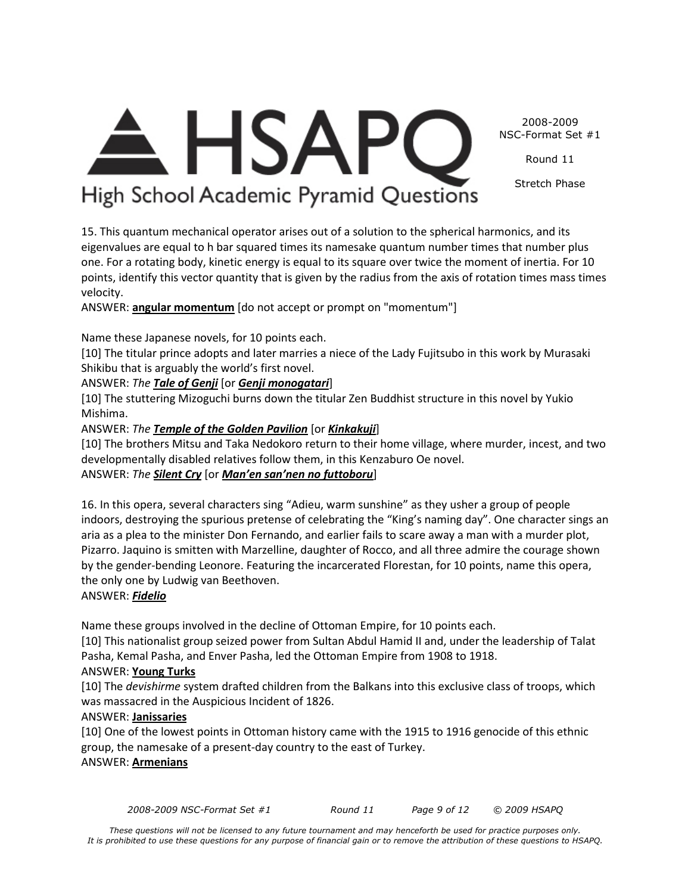2008-2009 NSC-Format Set #1

Round 11

Stretch Phase

# $\triangle$  HSAPC High School Academic Pyramid Questions

15. This quantum mechanical operator arises out of a solution to the spherical harmonics, and its eigenvalues are equal to h bar squared times its namesake quantum number times that number plus one. For a rotating body, kinetic energy is equal to its square over twice the moment of inertia. For 10 points, identify this vector quantity that is given by the radius from the axis of rotation times mass times velocity.

ANSWER: **angular momentum** [do not accept or prompt on "momentum"]

Name these Japanese novels, for 10 points each.

[10] The titular prince adopts and later marries a niece of the Lady Fujitsubo in this work by Murasaki Shikibu that is arguably the world's first novel.

ANSWER: *The Tale of Genji* [or *Genji monogatari*]

[10] The stuttering Mizoguchi burns down the titular Zen Buddhist structure in this novel by Yukio Mishima.

ANSWER: *The Temple of the Golden Pavilion* [or *Kinkakuji*]

[10] The brothers Mitsu and Taka Nedokoro return to their home village, where murder, incest, and two developmentally disabled relatives follow them, in this Kenzaburo Oe novel.

ANSWER: *The Silent Cry* [or *Man'en san'nen no futtoboru*]

16. In this opera, several characters sing "Adieu, warm sunshine" as they usher a group of people indoors, destroying the spurious pretense of celebrating the "King's naming day". One character sings an aria as a plea to the minister Don Fernando, and earlier fails to scare away a man with a murder plot, Pizarro. Jaquino is smitten with Marzelline, daughter of Rocco, and all three admire the courage shown by the gender-bending Leonore. Featuring the incarcerated Florestan, for 10 points, name this opera, the only one by Ludwig van Beethoven.

# ANSWER: *Fidelio*

Name these groups involved in the decline of Ottoman Empire, for 10 points each.

[10] This nationalist group seized power from Sultan Abdul Hamid II and, under the leadership of Talat Pasha, Kemal Pasha, and Enver Pasha, led the Ottoman Empire from 1908 to 1918.

# ANSWER: **Young Turks**

[10] The *devishirme* system drafted children from the Balkans into this exclusive class of troops, which was massacred in the Auspicious Incident of 1826.

# ANSWER: **Janissaries**

[10] One of the lowest points in Ottoman history came with the 1915 to 1916 genocide of this ethnic group, the namesake of a present-day country to the east of Turkey. ANSWER: **Armenians**

*2008-2009 NSC-Format Set #1 Round 11 Page 9 of 12 © 2009 HSAPQ*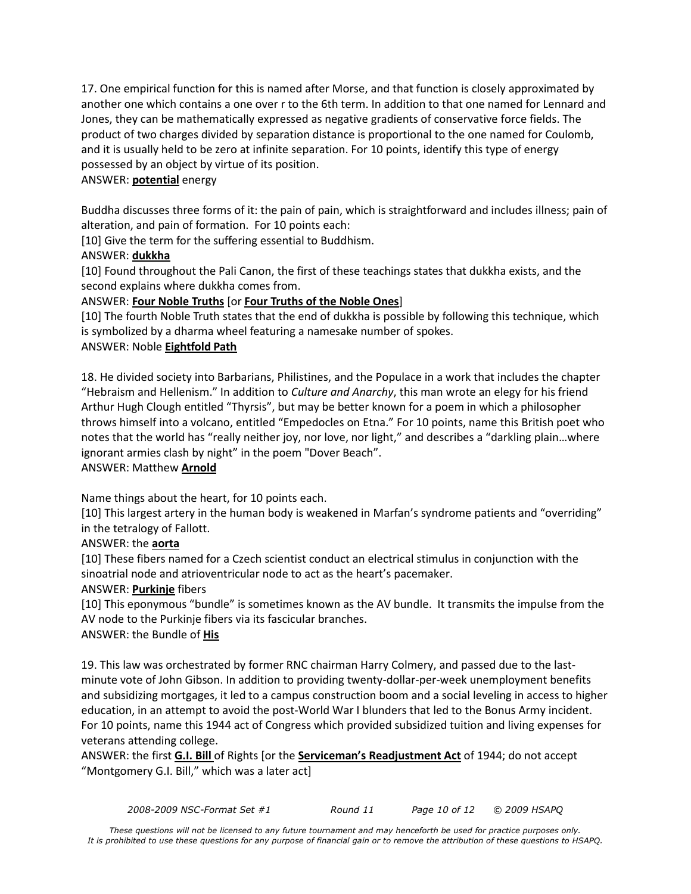17. One empirical function for this is named after Morse, and that function is closely approximated by another one which contains a one over r to the 6th term. In addition to that one named for Lennard and Jones, they can be mathematically expressed as negative gradients of conservative force fields. The product of two charges divided by separation distance is proportional to the one named for Coulomb, and it is usually held to be zero at infinite separation. For 10 points, identify this type of energy possessed by an object by virtue of its position.

# ANSWER: **potential** energy

Buddha discusses three forms of it: the pain of pain, which is straightforward and includes illness; pain of alteration, and pain of formation. For 10 points each:

[10] Give the term for the suffering essential to Buddhism.

# ANSWER: **dukkha**

[10] Found throughout the Pali Canon, the first of these teachings states that dukkha exists, and the second explains where dukkha comes from.

# ANSWER: **Four Noble Truths** [or **Four Truths of the Noble Ones**]

[10] The fourth Noble Truth states that the end of dukkha is possible by following this technique, which is symbolized by a dharma wheel featuring a namesake number of spokes.

# ANSWER: Noble **Eightfold Path**

18. He divided society into Barbarians, Philistines, and the Populace in a work that includes the chapter "Hebraism and Hellenism." In addition to *Culture and Anarchy*, this man wrote an elegy for his friend Arthur Hugh Clough entitled "Thyrsis", but may be better known for a poem in which a philosopher throws himself into a volcano, entitled "Empedocles on Etna." For 10 points, name this British poet who notes that the world has "really neither joy, nor love, nor light," and describes a "darkling plain...where ignorant armies clash by night" in the poem "Dover Beach". ANSWER: Matthew **Arnold**

Name things about the heart, for 10 points each.

[10] This largest artery in the human body is weakened in Marfan's syndrome patients and "overriding" in the tetralogy of Fallott.

# ANSWER: the **aorta**

[10] These fibers named for a Czech scientist conduct an electrical stimulus in conjunction with the sinoatrial node and atrioventricular node to act as the heart's pacemaker.

# ANSWER: **Purkinje** fibers

[10] This eponymous "bundle" is sometimes known as the AV bundle. It transmits the impulse from the AV node to the Purkinje fibers via its fascicular branches.

# ANSWER: the Bundle of **His**

19. This law was orchestrated by former RNC chairman Harry Colmery, and passed due to the lastminute vote of John Gibson. In addition to providing twenty-dollar-per-week unemployment benefits and subsidizing mortgages, it led to a campus construction boom and a social leveling in access to higher education, in an attempt to avoid the post-World War I blunders that led to the Bonus Army incident. For 10 points, name this 1944 act of Congress which provided subsidized tuition and living expenses for veterans attending college.

ANSWER: the first **G.I. Bill** of Rights [or the **Serviceman's Readjustment Act** of 1944; do not accept "Montgomery G.I. Bill," which was a later act]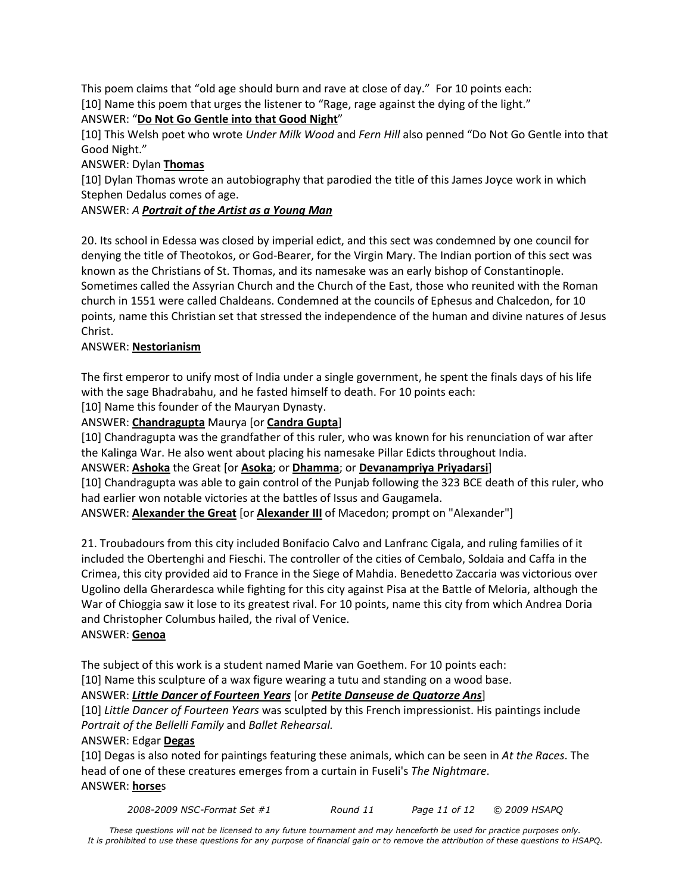This poem claims that "old age should burn and rave at close of day." For 10 points each: [10] Name this poem that urges the listener to "Rage, rage against the dying of the light."

# ANSWER: "**Do Not Go Gentle into that Good Night**"

[10] This Welsh poet who wrote *Under Milk Wood* and *Fern Hill* also penned "Do Not Go Gentle into that Good Night."

# ANSWER: Dylan **Thomas**

[10] Dylan Thomas wrote an autobiography that parodied the title of this James Joyce work in which Stephen Dedalus comes of age.

# ANSWER: *A Portrait of the Artist as a Young Man*

20. Its school in Edessa was closed by imperial edict, and this sect was condemned by one council for denying the title of Theotokos, or God-Bearer, for the Virgin Mary. The Indian portion of this sect was known as the Christians of St. Thomas, and its namesake was an early bishop of Constantinople. Sometimes called the Assyrian Church and the Church of the East, those who reunited with the Roman church in 1551 were called Chaldeans. Condemned at the councils of Ephesus and Chalcedon, for 10 points, name this Christian set that stressed the independence of the human and divine natures of Jesus Christ.

# ANSWER: **Nestorianism**

The first emperor to unify most of India under a single government, he spent the finals days of his life with the sage Bhadrabahu, and he fasted himself to death. For 10 points each:

[10] Name this founder of the Mauryan Dynasty.

ANSWER: **Chandragupta** Maurya [or **Candra Gupta**]

[10] Chandragupta was the grandfather of this ruler, who was known for his renunciation of war after the Kalinga War. He also went about placing his namesake Pillar Edicts throughout India.

ANSWER: **Ashoka** the Great [or **Asoka**; or **Dhamma**; or **Devanampriya Priyadarsi**]

[10] Chandragupta was able to gain control of the Punjab following the 323 BCE death of this ruler, who had earlier won notable victories at the battles of Issus and Gaugamela.

ANSWER: **Alexander the Great** [or **Alexander III** of Macedon; prompt on "Alexander"]

21. Troubadours from this city included Bonifacio Calvo and Lanfranc Cigala, and ruling families of it included the Obertenghi and Fieschi. The controller of the cities of Cembalo, Soldaia and Caffa in the Crimea, this city provided aid to France in the Siege of Mahdia. Benedetto Zaccaria was victorious over Ugolino della Gherardesca while fighting for this city against Pisa at the Battle of Meloria, although the War of Chioggia saw it lose to its greatest rival. For 10 points, name this city from which Andrea Doria and Christopher Columbus hailed, the rival of Venice.

# ANSWER: **Genoa**

The subject of this work is a student named Marie van Goethem. For 10 points each:

[10] Name this sculpture of a wax figure wearing a tutu and standing on a wood base.

# ANSWER: *Little Dancer of Fourteen Years* [or *Petite Danseuse de Quatorze Ans*]

[10] *Little Dancer of Fourteen Years* was sculpted by this French impressionist. His paintings include *Portrait of the Bellelli Family* and *Ballet Rehearsal.*

# ANSWER: Edgar **Degas**

[10] Degas is also noted for paintings featuring these animals, which can be seen in *At the Races*. The head of one of these creatures emerges from a curtain in Fuseli's *The Nightmare*. ANSWER: **horse**s

*2008-2009 NSC-Format Set #1 Round 11 Page 11 of 12 © 2009 HSAPQ*